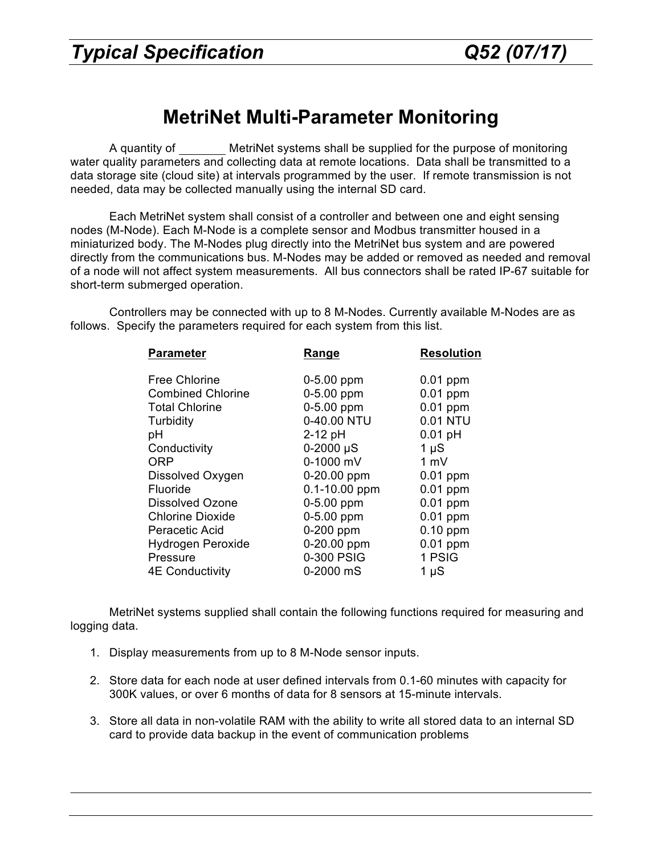## **MetriNet Multi-Parameter Monitoring**

A quantity of MetriNet systems shall be supplied for the purpose of monitoring water quality parameters and collecting data at remote locations. Data shall be transmitted to a data storage site (cloud site) at intervals programmed by the user. If remote transmission is not needed, data may be collected manually using the internal SD card.

Each MetriNet system shall consist of a controller and between one and eight sensing nodes (M-Node). Each M-Node is a complete sensor and Modbus transmitter housed in a miniaturized body. The M-Nodes plug directly into the MetriNet bus system and are powered directly from the communications bus. M-Nodes may be added or removed as needed and removal of a node will not affect system measurements. All bus connectors shall be rated IP-67 suitable for short-term submerged operation.

Controllers may be connected with up to 8 M-Nodes. Currently available M-Nodes are as follows. Specify the parameters required for each system from this list.

| <b>Parameter</b>         | Range             | <b>Resolution</b> |
|--------------------------|-------------------|-------------------|
| <b>Free Chlorine</b>     | $0 - 5.00$ ppm    | 0.01 ppm          |
| <b>Combined Chlorine</b> | 0-5.00 ppm        | 0.01 ppm          |
| <b>Total Chlorine</b>    | 0-5.00 ppm        | $0.01$ ppm        |
| Turbidity                | 0-40.00 NTU       | 0.01 NTU          |
| рH                       | $2-12$ pH         | $0.01$ pH         |
| Conductivity             | $0-2000 \,\mu S$  | $1 \mu S$         |
| <b>ORP</b>               | 0-1000 mV         | 1 mV              |
| Dissolved Oxygen         | 0-20.00 ppm       | 0.01 ppm          |
| <b>Fluoride</b>          | $0.1 - 10.00$ ppm | 0.01 ppm          |
| Dissolved Ozone          | $0-5.00$ ppm      | 0.01 ppm          |
| <b>Chlorine Dioxide</b>  | $0-5.00$ ppm      | $0.01$ ppm        |
| Peracetic Acid           | 0-200 ppm         | $0.10$ ppm        |
| <b>Hydrogen Peroxide</b> | 0-20.00 ppm       | $0.01$ ppm        |
| Pressure                 | 0-300 PSIG        | 1 PSIG            |
| <b>4E Conductivity</b>   | 0-2000 mS         | $1 \mu S$         |

 MetriNet systems supplied shall contain the following functions required for measuring and logging data.

- 1. Display measurements from up to 8 M-Node sensor inputs.
- 2. Store data for each node at user defined intervals from 0.1-60 minutes with capacity for 300K values, or over 6 months of data for 8 sensors at 15-minute intervals.
- 3. Store all data in non-volatile RAM with the ability to write all stored data to an internal SD card to provide data backup in the event of communication problems